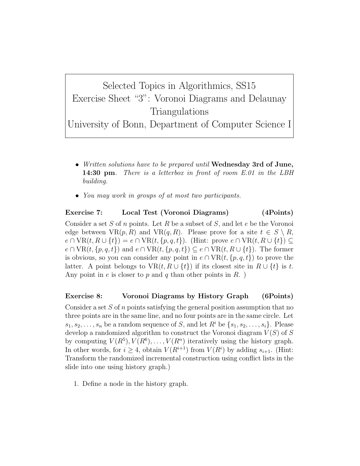Selected Topics in Algorithmics, SS15 Exercise Sheet "3": Voronoi Diagrams and Delaunay Triangulations

University of Bonn, Department of Computer Science I

- Written solutions have to be prepared until Wednesday 3rd of June, 14:30 pm. There is a letterbox in front of room E.01 in the LBH building.
- You may work in groups of at most two participants.

## Exercise 7: Local Test (Voronoi Diagrams) (4Points)

Consider a set S of n points. Let R be a subset of S, and let  $e$  be the Voronoi edge between  $VR(p, R)$  and  $VR(q, R)$ . Please prove for a site  $t \in S \setminus R$ ,  $e \cap \text{VR}(t, R \cup \{t\}) = e \cap \text{VR}(t, \{p, q, t\}).$  (Hint: prove  $e \cap \text{VR}(t, R \cup \{t\}) \subseteq$  $e \cap \text{VR}(t, \{p, q, t\})$  and  $e \cap \text{VR}(t, \{p, q, t\}) \subseteq e \cap \text{VR}(t, R \cup \{t\})$ . The former is obvious, so you can consider any point in  $e \cap \text{VR}(t, \{p, q, t\})$  to prove the latter. A point belongs to  $VR(t, R \cup \{t\})$  if its closest site in  $R \cup \{t\}$  is t. Any point in e is closer to p and q than other points in  $R$ .

## Exercise 8: Voronoi Diagrams by History Graph (6Points)

Consider a set  $S$  of n points satisfying the general position assumption that no three points are in the same line, and no four points are in the same circle. Let  $s_1, s_2, \ldots, s_n$  be a random sequence of S, and let  $R^i$  be  $\{s_1, s_2, \ldots, s_i\}$ . Please develop a randomized algorithm to construct the Voronoi diagram  $V(S)$  of S by computing  $V(R^5), V(R^6), \ldots, V(R^n)$  iteratively using the history graph. In other words, for  $i \geq 4$ , obtain  $V(R^{i+1})$  from  $V(R^i)$  by adding  $s_{i+1}$ . (Hint: Transform the randomized incremental construction using conflict lists in the slide into one using history graph.)

1. Define a node in the history graph.